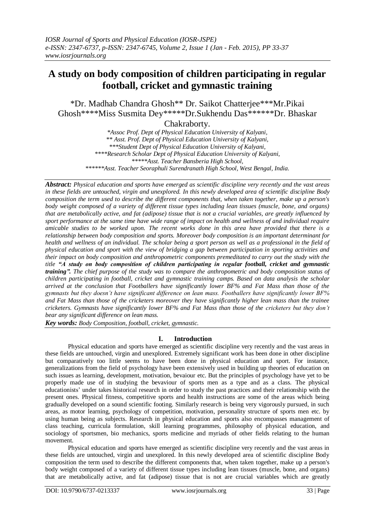# **A study on body composition of children participating in regular football, cricket and gymnastic training**

\*Dr. Madhab Chandra Ghosh\*\* Dr. Saikot Chatterjee\*\*\*Mr.Pikai Ghosh\*\*\*\*Miss Susmita Dey\*\*\*\*\*Dr.Sukhendu Das\*\*\*\*\*\*Dr. Bhaskar

Chakraborty.

*\*Assoc Prof. Dept of Physical Education University of Kalyani, \*\* Asst. Prof. Dept of Physical Education University of Kalyani, \*\*\*Student Dept of Physical Education University of Kalyani, \*\*\*\*Research Scholar Dept of Physical Education University of Kalyani, \*\*\*\*\*Asst. Teacher Bansberia High School, \*\*\*\*\*\*Asst. Teacher Seoraphuli Surendranath High School, West Bengal, India.*

*Abstract: Physical education and sports have emerged as scientific discipline very recently and the vast areas in these fields are untouched, virgin and unexplored. In this newly developed area of scientific discipline Body composition the term used to describe the different components that, when taken together, make up a person's body weight composed of a variety of different tissue types including lean tissues (muscle, bone, and organs) that are metabolically active, and fat (adipose) tissue that is not a crucial variables, are greatly influenced by sport performance at the same time have wide range of impact on health and wellness of and individual require amicable studies to be worked upon. The recent works done in this area have provided that there is a relationship between body composition and sports. Moreover body composition is an important determinant for health and wellness of an individual. The scholar being a sport person as well as a professional in the field of physical education and sport with the view of bridging a gap between participation in sporting activities and their impact on body composition and anthropometric components premeditated to carry out the study with the title "A study on body composition of children participating in regular football, cricket and gymnastic training". The chief purpose of the study was to compare the anthropometric and body composition status of children participating in football, cricket and gymnastic training camps. Based on data analysis the scholar arrived at the conclusion that Footballers have significantly lower BF% and Fat Mass than those of the gymnasts but they doesn't have significant difference on lean mass. Footballers have significantly lower BF% and Fat Mass than those of the cricketers moreover they have significantly higher lean mass than the trainee cricketers. Gymnasts have significantly lower BF% and Fat Mass than those of the cricketers but they don't bear any significant difference on lean mass.*

*Key words: Body Composition, football, cricket, gymnastic.*

# **I. Introduction**

Physical education and sports have emerged as scientific discipline very recently and the vast areas in these fields are untouched, virgin and unexplored. Extremely significant work has been done in other discipline but comparatively too little seems to have been done in physical education and sport. For instance, generalizations from the field of psychology have been extensively used in building up theories of education on such issues as learning, development, motivation, bevaiour etc. But the principles of psychology have yet to be properly made use of in studying the bevaviour of sports men as a type and as a class. The physical educationists' under takes historical research in order to study the past practices and their relationship with the present ones. Physical fitness, competitive sports and health instructions are some of the areas which being gradually developed on a sound scientific footing. Similarly research is being very vigorously pursued, in such areas, as motor learning, psychology of competition, motivation, personality structure of sports men etc. by using human being as subjects. Research in physical education and sports also encompasses management of class teaching, curricula formulation, skill learning programmes, philosophy of physical education, and sociology of sportsmen, bio mechanics, sports medicine and myriads of other fields relating to the human movement.

Physical education and sports have emerged as scientific discipline very recently and the vast areas in these fields are untouched, virgin and unexplored. In this newly developed area of scientific discipline Body composition the term used to describe the different components that, when taken together, make up a person's body weight composed of a variety of different tissue types including lean tissues (muscle, bone, and organs) that are metabolically active, and fat (adipose) tissue that is not are crucial variables which are greatly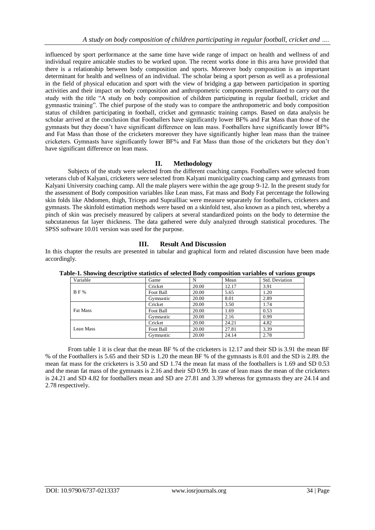influenced by sport performance at the same time have wide range of impact on health and wellness of and individual require amicable studies to be worked upon. The recent works done in this area have provided that there is a relationship between body composition and sports. Moreover body composition is an important determinant for health and wellness of an individual. The scholar being a sport person as well as a professional in the field of physical education and sport with the view of bridging a gap between participation in sporting activities and their impact on body composition and anthropometric components premeditated to carry out the study with the title "A study on body composition of children participating in regular football, cricket and gymnastic training". The chief purpose of the study was to compare the anthropometric and body composition status of children participating in football, cricket and gymnastic training camps. Based on data analysis he scholar arrived at the conclusion that Footballers have significantly lower BF% and Fat Mass than those of the gymnasts but they doesn't have significant difference on lean mass. Footballers have significantly lower BF% and Fat Mass than those of the cricketers moreover they have significantly higher lean mass than the trainee cricketers. Gymnasts have significantly lower BF% and Fat Mass than those of the cricketers but they don't have significant difference on lean mass.

## **II. Methodology**

Subjects of the study were selected from the different coaching camps. Footballers were selected from veterans club of Kalyani, cricketers were selected from Kalyani municipality coaching camp and gymnasts from Kalyani University coaching camp. All the male players were within the age group 9-12. In the present study for the assessment of Body composition variables like Lean mass, Fat mass and Body Fat percentage the following skin folds like Abdomen, thigh, Triceps and Suprailliac were measure separately for footballers, cricketers and gymnasts. The skinfold estimation methods were based on a skinfold test, also known as a pinch test, whereby a pinch of skin was precisely measured by calipers at several standardized points on the body to determine the subcutaneous fat layer thickness. The data gathered were duly analyzed through statistical procedures. The SPSS software 10.01 version was used for the purpose.

### **III. Result And Discussion**

In this chapter the results are presented in tabular and graphical form and related discussion have been made accordingly.

| Variable   | Game      | N     | Mean  | Std. Deviation |
|------------|-----------|-------|-------|----------------|
|            | Cricket   | 20.00 | 12.17 | 3.91           |
| <b>BF%</b> | Foot Ball | 20.00 | 5.65  | 1.20           |
|            | Gymnastic | 20.00 | 8.01  | 2.89           |
|            | Cricket   | 20.00 | 3.50  | 1.74           |
| Fat Mass   | Foot Ball | 20.00 | 1.69  | 0.53           |
|            | Gymnastic | 20.00 | 2.16  | 0.99           |
|            | Cricket   | 20.00 | 24.21 | 4.82           |
| Lean Mass  | Foot Ball | 20.00 | 27.81 | 3.39           |
|            | Gymnastic | 20.00 | 24.14 | 2.78           |

**Table-1. Showing descriptive statistics of selected Body composition variables of various groups**

From table 1 it is clear that the mean BF % of the cricketers is 12.17 and their SD is 3.91 the mean BF % of the Footballers is 5.65 and their SD is 1.20 the mean BF % of the gymnasts is 8.01 and the SD is 2.89. the mean fat mass for the cricketers is 3.50 and SD 1.74 the mean fat mass of the footballers is 1.69 and SD 0.53 and the mean fat mass of the gymnasts is 2.16 and their SD 0.99. In case of lean mass the mean of the cricketers is 24.21 and SD 4.82 for footballers mean and SD are 27.81 and 3.39 whereas for gymnasts they are 24.14 and 2.78 respectively.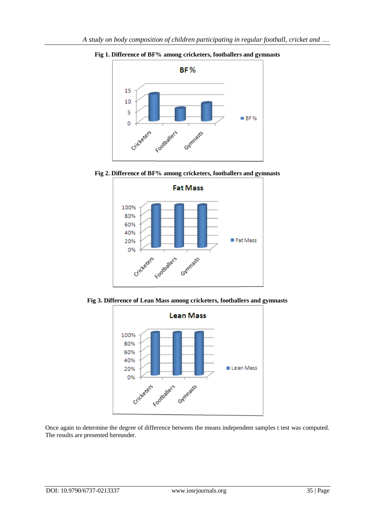

**Fig 1. Difference of BF% among cricketers, footballers and gymnasts**





**Fig 3. Difference of Lean Mass among cricketers, footballers and gymnasts**



Once again to determine the degree of difference between the means independent samples t test was computed. The results are presented hereunder.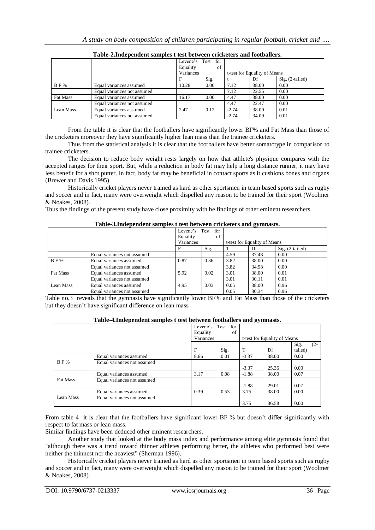|            |                             | for<br>Levene's Test<br>Equality<br>of<br>Variances |      | t-test for Equality of Means |       |                   |  |
|------------|-----------------------------|-----------------------------------------------------|------|------------------------------|-------|-------------------|--|
|            |                             |                                                     | Sig. |                              | Df    | $Sig. (2-tailed)$ |  |
| <b>BF%</b> | Equal variances assumed     | 10.28                                               | 0.00 | 7.12                         | 38.00 | 0.00              |  |
|            | Equal variances not assumed |                                                     |      | 7.12                         | 22.55 | 0.00              |  |
| Fat Mass   | Equal variances assumed     | 16.17                                               | 0.00 | 4.47                         | 38.00 | 0.00              |  |
|            | Equal variances not assumed |                                                     |      | 4.47                         | 22.47 | 0.00              |  |
| Lean Mass  | Equal variances assumed     | 2.47                                                | 0.12 | $-2.74$                      | 38.00 | 0.01              |  |
|            | Equal variances not assumed |                                                     |      | $-2.74$                      | 34.09 | 0.01              |  |

**Table-2.Independent samples t test between cricketers and footballers.**

From the table it is clear that the footballers have significantly lower BF% and Fat Mass than those of the cricketers moreover they have significantly higher lean mass than the trainee cricketers.

Thus from the statistical analysis it is clear that the footballers have better somatotype in comparison to trainee cricketers.

The decision to reduce body weight rests largely on how that athlete's physique compares with the accepted ranges for their sport. But, while a reduction in body fat may help a long distance runner, it may have less benefit for a shot putter. In fact, body fat may be beneficial in contact sports as it cushions bones and organs (Brewer and Davis 1995).

Historically cricket players never trained as hard as other sportsmen in team based sports such as rugby and soccer and in fact, many were overweight which dispelled any reason to be trained for their sport (Woolmer & Noakes, 2008).

Thus the findings of the present study have close proximity with he findings of other eminent researchers.

### **Table-3.Independent samples t test between cricketers and gymnasts.**

| Twore connuependent sumpres t test settlem criencells und gymnusou |                             |          |                      |      |                              |                   |  |  |
|--------------------------------------------------------------------|-----------------------------|----------|----------------------|------|------------------------------|-------------------|--|--|
|                                                                    |                             |          | for<br>Levene's Test |      |                              |                   |  |  |
|                                                                    |                             | Equality | of                   |      |                              |                   |  |  |
|                                                                    |                             |          | Variances            |      | t-test for Equality of Means |                   |  |  |
|                                                                    |                             |          | Sig.                 |      | Df                           | $Sig. (2-tailed)$ |  |  |
|                                                                    | Equal variances not assumed |          |                      | 4.59 | 37.48                        | 0.00              |  |  |
| <b>BF%</b>                                                         | Equal variances assumed     | 0.87     | 0.36                 | 3.82 | 38.00                        | 0.00              |  |  |
|                                                                    | Equal variances not assumed |          |                      | 3.82 | 34.98                        | 0.00              |  |  |
| Fat Mass                                                           | Equal variances assumed     | 5.92     | 0.02                 | 3.01 | 38.00                        | 0.01              |  |  |
|                                                                    | Equal variances not assumed |          |                      | 3.01 | 30.11                        | 0.01              |  |  |
| Lean Mass                                                          | Equal variances assumed     | 4.95     | 0.03                 | 0.05 | 38.00                        | 0.96              |  |  |
|                                                                    | Equal variances not assumed |          |                      | 0.05 | 30.34                        | 0.96              |  |  |

Table no.3 reveals that the gymnasts have significantly lower BF% and Fat Mass than those of the cricketers but they doesn't have significant difference on lean mass

| Table-4.Independent samples t test between footballers and gymnasts. |  |  |
|----------------------------------------------------------------------|--|--|
|                                                                      |  |  |

|                 |                             | Levene's Test<br>Equality | for<br>of |         |                              |                           |  |
|-----------------|-----------------------------|---------------------------|-----------|---------|------------------------------|---------------------------|--|
|                 |                             |                           | Variances |         | t-test for Equality of Means |                           |  |
|                 |                             | F                         | Sig.      | т       | Df                           | Sig.<br>$(2 -$<br>tailed) |  |
| <b>BF%</b>      | Equal variances assumed     | 8.66                      | 0.01      | $-3.37$ | 38.00                        | 0.00                      |  |
|                 | Equal variances not assumed |                           |           | $-3.37$ | 25.36                        | 0.00                      |  |
|                 | Equal variances assumed     | 3.17                      | 0.08      | $-1.88$ | 38.00                        | 0.07                      |  |
| <b>Fat Mass</b> | Equal variances not assumed |                           |           | $-1.88$ | 29.01                        | 0.07                      |  |
| Lean Mass       | Equal variances assumed     | 0.39                      | 0.53      | 3.75    | 38.00                        | 0.00                      |  |
|                 | Equal variances not assumed |                           |           | 3.75    | 36.58                        | 0.00                      |  |

From table 4 it is clear that the footballers have significant lower BF % but doesn't differ significantly with respect to fat mass or lean mass.

Similar findings have been deduced other eminent researchers.

Another study that looked at the body mass index and performance among elite gymnasts found that "although there was a trend toward thinner athletes performing better, the athletes who performed best were neither the thinnest nor the heaviest" (Sherman 1996).

Historically cricket players never trained as hard as other sportsmen in team based sports such as rugby and soccer and in fact, many were overweight which dispelled any reason to be trained for their sport (Woolmer & Noakes, 2008).